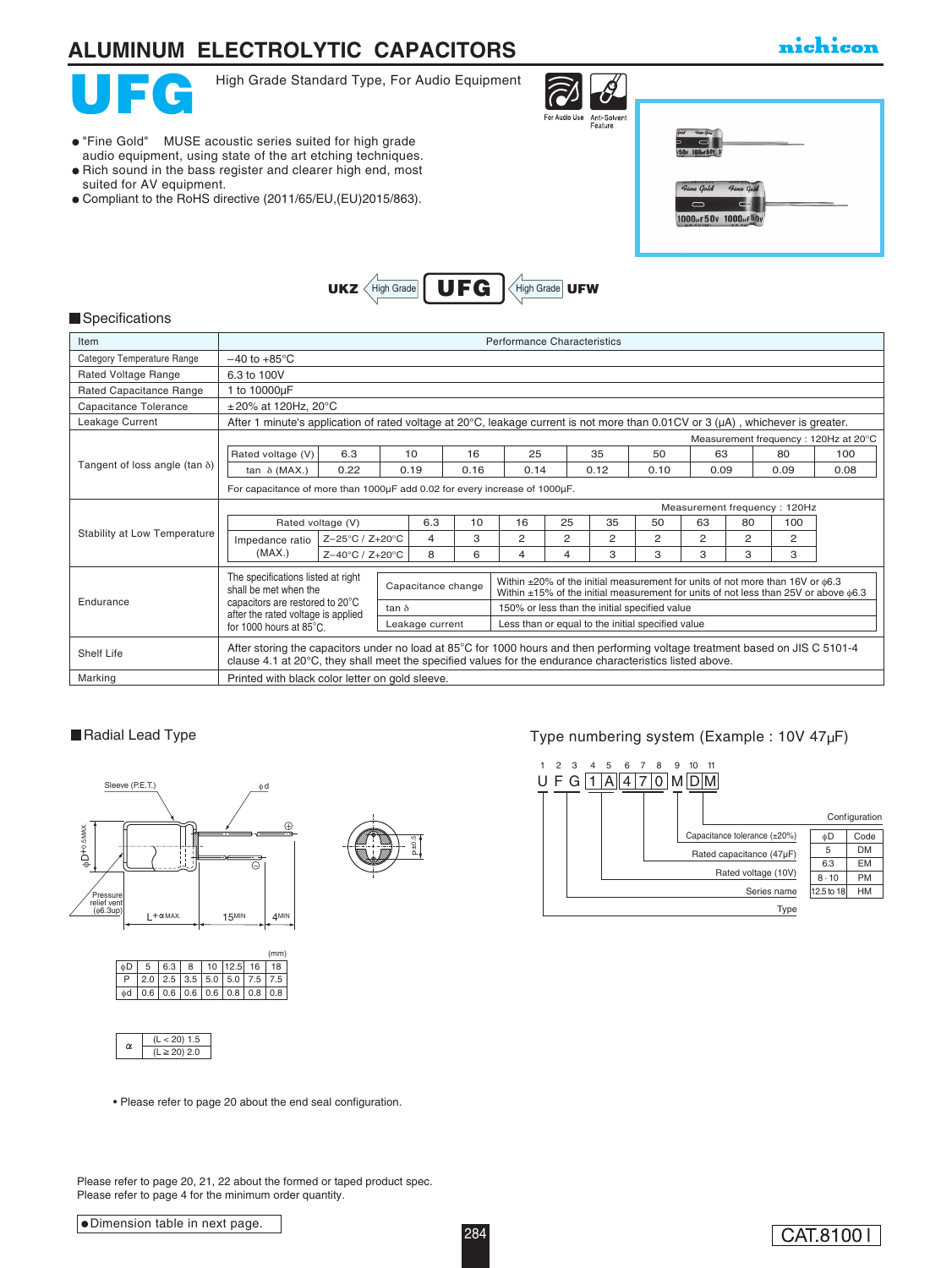# **ALUMINUM ELECTROLYTIC CAPACITORS**

"Fine Gold" MUSE acoustic series suited for high grade audio equipment, using state of the art etching techniques.  $\bullet$  Rich sound in the bass register and clearer high end, most

Compliant to the RoHS directive (2011/65/EU,(EU)2015/863).

### nichicon



suited for AV equipment.

High Grade Standard Type, For Audio Equipment

 $U$ KZ  $\left\langle$  High Grade  $\right|$  UFG



High Grade UFW

| <b>Time Gold</b><br><b>50y 100ur50y 1</b>                                                       |  |  |
|-------------------------------------------------------------------------------------------------|--|--|
| Time Gold<br><b><i><u><u>INTERNATION</u></u></i></b><br>Fine Gold<br>–<br>1000ur 50v 1000ur 50v |  |  |

#### **Specifications**

| Item                                  | Performance Characteristics                                                                                                                                                                                                                                                                                                                                                                                           |                 |                 |      |      |                                                   |                |      |                |      |                |      |                                       |
|---------------------------------------|-----------------------------------------------------------------------------------------------------------------------------------------------------------------------------------------------------------------------------------------------------------------------------------------------------------------------------------------------------------------------------------------------------------------------|-----------------|-----------------|------|------|---------------------------------------------------|----------------|------|----------------|------|----------------|------|---------------------------------------|
| Category Temperature Range            | $-40$ to $+85^{\circ}$ C                                                                                                                                                                                                                                                                                                                                                                                              |                 |                 |      |      |                                                   |                |      |                |      |                |      |                                       |
| <b>Rated Voltage Range</b>            | 6.3 to 100V                                                                                                                                                                                                                                                                                                                                                                                                           |                 |                 |      |      |                                                   |                |      |                |      |                |      |                                       |
| Rated Capacitance Range               | 1 to 10000µF                                                                                                                                                                                                                                                                                                                                                                                                          |                 |                 |      |      |                                                   |                |      |                |      |                |      |                                       |
| Capacitance Tolerance                 | $\pm$ 20% at 120Hz, 20°C                                                                                                                                                                                                                                                                                                                                                                                              |                 |                 |      |      |                                                   |                |      |                |      |                |      |                                       |
| Leakage Current                       | After 1 minute's application of rated voltage at 20 $^{\circ}$ C, leakage current is not more than 0.01CV or 3 ( $\mu$ A), whichever is greater.                                                                                                                                                                                                                                                                      |                 |                 |      |      |                                                   |                |      |                |      |                |      |                                       |
|                                       |                                                                                                                                                                                                                                                                                                                                                                                                                       |                 |                 |      |      |                                                   |                |      |                |      |                |      | Measurement frequency : 120Hz at 20°C |
|                                       | Rated voltage (V)                                                                                                                                                                                                                                                                                                                                                                                                     | 6.3             |                 | 10   | 16   | 25                                                |                | 35   | 50             | 63   |                | 80   | 100                                   |
| Tangent of loss angle (tan $\delta$ ) | tan $\delta$ (MAX.)                                                                                                                                                                                                                                                                                                                                                                                                   | 0.22            |                 | 0.19 | 0.16 | 0.14                                              |                | 0.12 | 0.10           | 0.09 |                | 0.09 | 0.08                                  |
|                                       | For capacitance of more than 1000uF add 0.02 for every increase of 1000uF.                                                                                                                                                                                                                                                                                                                                            |                 |                 |      |      |                                                   |                |      |                |      |                |      |                                       |
|                                       | Measurement frequency: 120Hz                                                                                                                                                                                                                                                                                                                                                                                          |                 |                 |      |      |                                                   |                |      |                |      |                |      |                                       |
|                                       | Rated voltage (V)                                                                                                                                                                                                                                                                                                                                                                                                     |                 |                 | 6.3  | 10   | 16                                                | 25             | 35   | 50             | 63   | 80             | 100  |                                       |
| Stability at Low Temperature          | Impedance ratio<br>(MAX.)                                                                                                                                                                                                                                                                                                                                                                                             | Z-25°C / Z+20°C |                 | 4    | 3    | $\overline{2}$                                    | $\overline{2}$ | 2    | $\overline{2}$ | 2    | $\overline{2}$ | 2    |                                       |
|                                       |                                                                                                                                                                                                                                                                                                                                                                                                                       | Z-40°C / Z+20°C |                 | 8    | 6    | 4                                                 | $\overline{4}$ | 3    | 3              | 3    | 3              | 3    |                                       |
| Endurance                             | The specifications listed at right<br>Within ±20% of the initial measurement for units of not more than 16V or $\phi$ 6.3<br>Capacitance change<br>shall be met when the<br>Within $\pm 15\%$ of the initial measurement for units of not less than 25V or above $\phi$ 6.3<br>capacitors are restored to 20°C<br>150% or less than the initial specified value<br>tan $\delta$<br>after the rated voltage is applied |                 |                 |      |      |                                                   |                |      |                |      |                |      |                                       |
|                                       | for 1000 hours at 85°C.                                                                                                                                                                                                                                                                                                                                                                                               |                 | Leakage current |      |      | Less than or equal to the initial specified value |                |      |                |      |                |      |                                       |
| Shelf Life                            | After storing the capacitors under no load at 85°C for 1000 hours and then performing voltage treatment based on JIS C 5101-4<br>clause 4.1 at 20°C, they shall meet the specified values for the endurance characteristics listed above.                                                                                                                                                                             |                 |                 |      |      |                                                   |                |      |                |      |                |      |                                       |
| Marking                               | Printed with black color letter on gold sleeve.                                                                                                                                                                                                                                                                                                                                                                       |                 |                 |      |      |                                                   |                |      |                |      |                |      |                                       |

#### Radial Lead Type







### Type numbering system (Example : 10V 47µF)



• Please refer to page 20 about the end seal configuration.

Please refer to page 20, 21, 22 about the formed or taped product spec. Please refer to page 4 for the minimum order quantity.

#### Dimension table in next page.

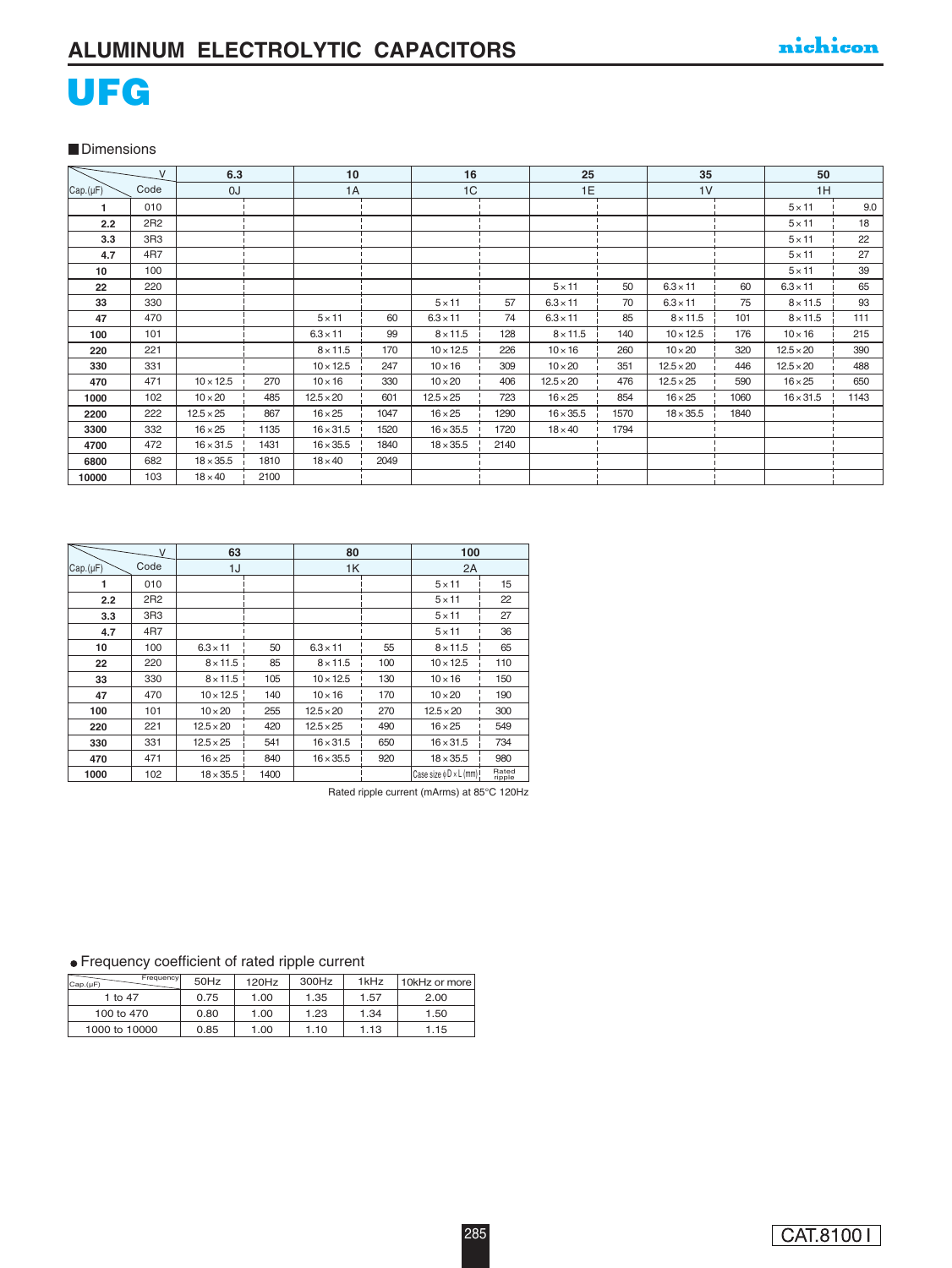# UFG

**Dimensions** 

| V               |                 | 6.3<br>10 <sup>1</sup> |      |                  | 16   |                  | 25   |                  | 35   |                  | 50   |                  |      |
|-----------------|-----------------|------------------------|------|------------------|------|------------------|------|------------------|------|------------------|------|------------------|------|
| Cap.(µF)        | Code            | OJ                     |      | 1A               |      | 1C               |      | 1E               |      | 1 <sub>V</sub>   |      | 1H               |      |
| 1               | 010             |                        |      |                  |      |                  |      |                  |      |                  |      | $5 \times 11$    | 9.0  |
| 2.2             | 2R2             |                        |      |                  |      |                  |      |                  |      |                  |      | $5 \times 11$    | 18   |
| 3.3             | 3R <sub>3</sub> |                        |      |                  |      |                  |      |                  |      |                  |      | $5 \times 11$    | 22   |
| 4.7             | 4 <sub>R7</sub> |                        |      |                  |      |                  |      |                  |      |                  |      | $5 \times 11$    | 27   |
| 10 <sup>1</sup> | 100             |                        |      |                  |      |                  |      |                  |      |                  |      | $5 \times 11$    | 39   |
| 22              | 220             |                        |      |                  |      |                  |      | $5 \times 11$    | 50   | $6.3 \times 11$  | 60   | $6.3 \times 11$  | 65   |
| 33              | 330             |                        |      |                  |      | $5 \times 11$    | 57   | $6.3 \times 11$  | 70   | $6.3 \times 11$  | 75   | $8 \times 11.5$  | 93   |
| 47              | 470             |                        |      | $5 \times 11$    | 60   | $6.3 \times 11$  | 74   | $6.3 \times 11$  | 85   | $8 \times 11.5$  | 101  | $8 \times 11.5$  | 111  |
| 100             | 101             |                        |      | $6.3 \times 11$  | 99   | $8 \times 11.5$  | 128  | $8 \times 11.5$  | 140  | $10 \times 12.5$ | 176  | $10 \times 16$   | 215  |
| 220             | 221             |                        |      | $8 \times 11.5$  | 170  | $10 \times 12.5$ | 226  | $10 \times 16$   | 260  | $10 \times 20$   | 320  | $12.5 \times 20$ | 390  |
| 330             | 331             |                        |      | $10 \times 12.5$ | 247  | $10 \times 16$   | 309  | $10 \times 20$   | 351  | $12.5 \times 20$ | 446  | $12.5 \times 20$ | 488  |
| 470             | 471             | $10 \times 12.5$       | 270  | $10 \times 16$   | 330  | $10 \times 20$   | 406  | $12.5 \times 20$ | 476  | $12.5 \times 25$ | 590  | $16 \times 25$   | 650  |
| 1000            | 102             | $10 \times 20$         | 485  | $12.5 \times 20$ | 601  | $12.5 \times 25$ | 723  | $16 \times 25$   | 854  | $16 \times 25$   | 1060 | $16 \times 31.5$ | 1143 |
| 2200            | 222             | $12.5 \times 25$       | 867  | $16 \times 25$   | 1047 | $16 \times 25$   | 1290 | $16 \times 35.5$ | 1570 | $18 \times 35.5$ | 1840 |                  |      |
| 3300            | 332             | $16 \times 25$         | 1135 | $16 \times 31.5$ | 1520 | $16 \times 35.5$ | 1720 | $18 \times 40$   | 1794 |                  |      |                  |      |
| 4700            | 472             | $16 \times 31.5$       | 1431 | $16 \times 35.5$ | 1840 | $18 \times 35.5$ | 2140 |                  |      |                  |      |                  |      |
| 6800            | 682             | $18 \times 35.5$       | 1810 | $18 \times 40$   | 2049 |                  |      |                  |      |                  |      |                  |      |
| 10000           | 103             | $18 \times 40$         | 2100 |                  |      |                  |      |                  |      |                  |      |                  |      |

| $\mathsf{V}$ |                 | 63               |      | 80               |     | 100                          |                 |  |
|--------------|-----------------|------------------|------|------------------|-----|------------------------------|-----------------|--|
| Cap.(µF)     | Code            | 1J               |      | 1K               |     | 2A                           |                 |  |
|              | 010             |                  |      |                  |     | $5 \times 11$                | 15              |  |
| 2.2          | 2R2             |                  |      |                  |     | $5 \times 11$                | 22              |  |
| 3.3          | 3R <sub>3</sub> |                  |      |                  |     | $5 \times 11$                | 27              |  |
| 4.7          | 4 <sub>R7</sub> |                  |      |                  |     | $5 \times 11$                | 36              |  |
| 10           | 100             | $6.3 \times 11$  | 50   | $6.3 \times 11$  | 55  | $8 \times 11.5$              | 65              |  |
| 22           | 220             | $8 \times 11.5$  | 85   | $8 \times 11.5$  | 100 | $10 \times 12.5$             | 110             |  |
| 33           | 330             | $8 \times 11.5$  | 105  | $10 \times 12.5$ | 130 | $10 \times 16$               | 150             |  |
| 47           | 470             | $10 \times 12.5$ | 140  | $10 \times 16$   | 170 | $10 \times 20$               | 190             |  |
| 100          | 101             | $10 \times 20$   | 255  | $12.5 \times 20$ | 270 | $12.5 \times 20$             | 300             |  |
| 220          | 221             | $12.5 \times 20$ | 420  | $12.5 \times 25$ | 490 | $16 \times 25$               | 549             |  |
| 330          | 331             | $12.5 \times 25$ | 541  | $16 \times 31.5$ | 650 | $16 \times 31.5$             | 734             |  |
| 470          | 471             | $16 \times 25$   | 840  | $16 \times 35.5$ | 920 | $18 \times 35.5$             | 980             |  |
| 1000         | 102             | $18 \times 35.5$ | 1400 |                  |     | Case size $\phi$ D × L (mm)! | Rated<br>ripple |  |

Rated ripple current (mArms) at 85°C 120Hz

#### Frequency coefficient of rated ripple current

| Frequency<br>Cap.(µF) | 50Hz | 120Hz | 300Hz | 1kHz | 10kHz or more |
|-----------------------|------|-------|-------|------|---------------|
| 1 to 47               | 0.75 | 1.00  | 1.35  | 1.57 | 2.00          |
| 100 to 470            | 0.80 | 1.00  | 1.23  | 1.34 | 1.50          |
| 1000 to 10000         | 0.85 | 1.00  | 1.10  | 1.13 | 1.15          |